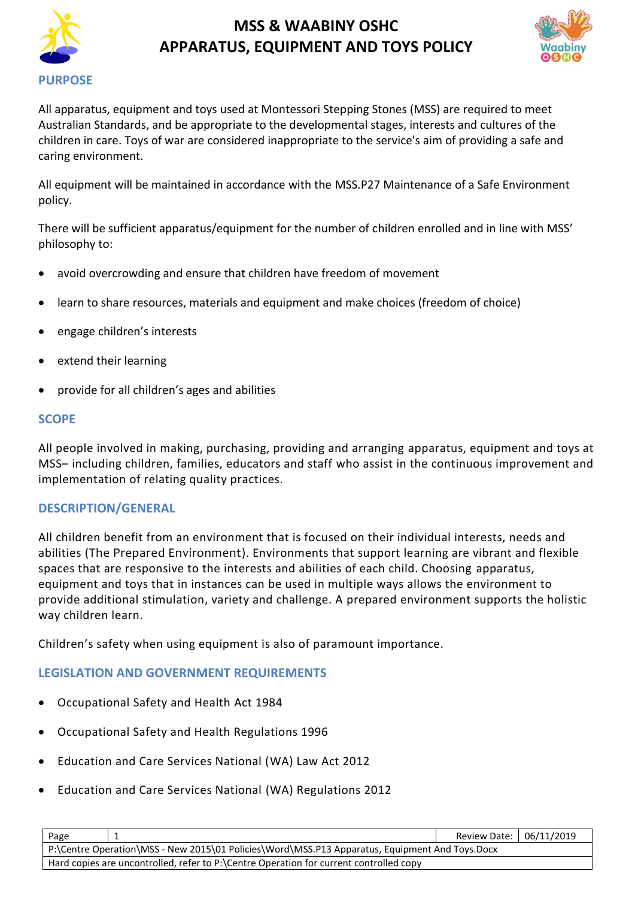

# **MSS & WAABINY OSHC APPARATUS, EQUIPMENT AND TOYS POLICY**



All apparatus, equipment and toys used at Montessori Stepping Stones (MSS) are required to meet Australian Standards, and be appropriate to the developmental stages, interests and cultures of the children in care. Toys of war are considered inappropriate to the service's aim of providing a safe and caring environment.

All equipment will be maintained in accordance with the MSS.P27 Maintenance of a Safe Environment policy.

There will be sufficient apparatus/equipment for the number of children enrolled and in line with MSS' philosophy to:

- avoid overcrowding and ensure that children have freedom of movement
- learn to share resources, materials and equipment and make choices (freedom of choice)
- engage children's interests
- extend their learning
- provide for all children's ages and abilities

#### **SCOPE**

All people involved in making, purchasing, providing and arranging apparatus, equipment and toys at MSS– including children, families, educators and staff who assist in the continuous improvement and implementation of relating quality practices.

#### **DESCRIPTION/GENERAL**

All children benefit from an environment that is focused on their individual interests, needs and abilities (The Prepared Environment). Environments that support learning are vibrant and flexible spaces that are responsive to the interests and abilities of each child. Choosing apparatus, equipment and toys that in instances can be used in multiple ways allows the environment to provide additional stimulation, variety and challenge. A prepared environment supports the holistic way children learn.

Children's safety when using equipment is also of paramount importance.

# **LEGISLATION AND GOVERNMENT REQUIREMENTS**

- [Occupational Safety and Health](http://www.slp.wa.gov.au/legislation/agency.nsf/docep_main_mrtitle_4245_homepage.html) Act 1984
- [Occupational Safety and Health Regulations 1996](http://www.slp.wa.gov.au/legislation/agency.nsf/docep_main_mrtitle_12516_homepage.html)
- Education and Care Services National (WA) Law Act 2012
- Education and Care Services National (WA) Regulations 2012

| Page                                                                                           |  | Review Date: 06/11/2019 |  |  |  |  |
|------------------------------------------------------------------------------------------------|--|-------------------------|--|--|--|--|
| P:\Centre Operation\MSS - New 2015\01 Policies\Word\MSS.P13 Apparatus, Equipment And Toys.Docx |  |                         |  |  |  |  |
| Hard copies are uncontrolled, refer to P:\Centre Operation for current controlled copy         |  |                         |  |  |  |  |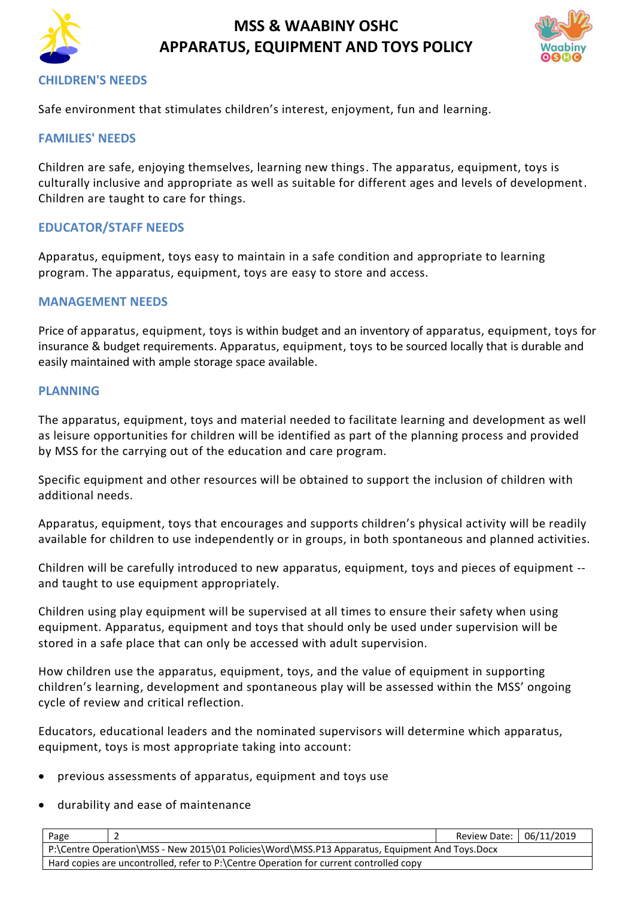

# **MSS & WAABINY OSHC APPARATUS, EQUIPMENT AND TOYS POLICY**



#### **CHILDREN'S NEEDS**

Safe environment that stimulates children's interest, enjoyment, fun and learning.

## **FAMILIES' NEEDS**

Children are safe, enjoying themselves, learning new things. The apparatus, equipment, toys is culturally inclusive and appropriate as well as suitable for different ages and levels of development. Children are taught to care for things.

## **EDUCATOR/STAFF NEEDS**

Apparatus, equipment, toys easy to maintain in a safe condition and appropriate to learning program. The apparatus, equipment, toys are easy to store and access.

## **MANAGEMENT NEEDS**

Price of apparatus, equipment, toys is within budget and an inventory of apparatus, equipment, toys for insurance & budget requirements. Apparatus, equipment, toys to be sourced locally that is durable and easily maintained with ample storage space available.

#### **PLANNING**

The apparatus, equipment, toys and material needed to facilitate learning and development as well as leisure opportunities for children will be identified as part of the planning process and provided by MSS for the carrying out of the education and care program.

Specific equipment and other resources will be obtained to support the inclusion of children with additional needs.

Apparatus, equipment, toys that encourages and supports children's physical activity will be readily available for children to use independently or in groups, in both spontaneous and planned activities.

Children will be carefully introduced to new apparatus, equipment, toys and pieces of equipment - and taught to use equipment appropriately.

Children using play equipment will be supervised at all times to ensure their safety when using equipment. Apparatus, equipment and toys that should only be used under supervision will be stored in a safe place that can only be accessed with adult supervision.

How children use the apparatus, equipment, toys, and the value of equipment in supporting children's learning, development and spontaneous play will be assessed within the MSS' ongoing cycle of review and critical reflection.

Educators, educational leaders and the nominated supervisors will determine which apparatus, equipment, toys is most appropriate taking into account:

- previous assessments of apparatus, equipment and toys use
- durability and ease of maintenance

| Page                                                                                           |  | Review Date: 06/11/2019 |  |  |  |  |
|------------------------------------------------------------------------------------------------|--|-------------------------|--|--|--|--|
| P:\Centre Operation\MSS - New 2015\01 Policies\Word\MSS.P13 Apparatus, Equipment And Toys.Docx |  |                         |  |  |  |  |
| Hard copies are uncontrolled, refer to P:\Centre Operation for current controlled copy         |  |                         |  |  |  |  |